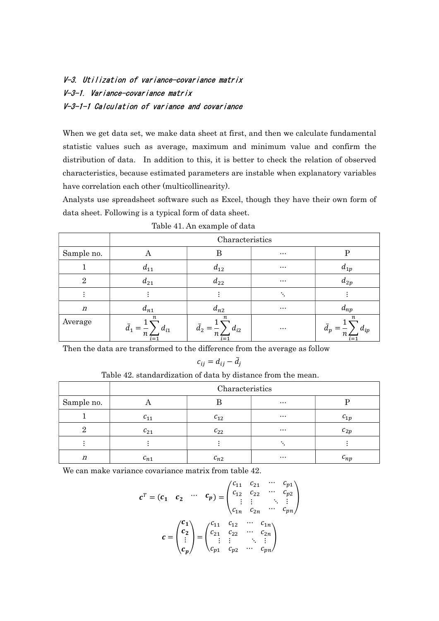## V-3. Utilization of variance-covariance matrix V-3-1. Variance-covariance matrix V-3-1-1 Calculation of variance and covariance

When we get data set, we make data sheet at first, and then we calculate fundamental statistic values such as average, maximum and minimum value and confirm the distribution of data. In addition to this, it is better to check the relation of observed characteristics, because estimated parameters are instable when explanatory variables have correlation each other (multicollinearity).

Analysts use spreadsheet software such as Excel, though they have their own form of data sheet. Following is a typical form of data sheet.

|                  | $\overline{\phantom{a}}$<br>Characteristics |                                       |          |                                       |  |
|------------------|---------------------------------------------|---------------------------------------|----------|---------------------------------------|--|
| Sample no.       | А                                           | В                                     | $\cdots$ | P                                     |  |
|                  | $d_{11}$                                    | $d_{12}$                              | $\cdots$ | $a_{1p}$                              |  |
| $\overline{2}$   | $d_{21}$                                    | $d_{22}$                              | $\cdots$ | $d_{2p}$                              |  |
|                  |                                             |                                       | ۰.       |                                       |  |
| $\boldsymbol{n}$ | $d_{n1}$                                    | $d_{n2}$                              | $\cdots$ | $d_{np}$                              |  |
| Average          | п<br>a <sub>1</sub><br>$a_{i1}$<br>$i = 1$  | $\boldsymbol{n}$<br>$a_{i2}$<br>$i=1$ | $\cdots$ | $\boldsymbol{n}$<br>$a_{ip}$<br>$i=1$ |  |

Table 41. An example of data

Then the data are transformed to the difference from the average as follow

$$
c_{ij}=d_{ij}-\bar{d}_j
$$

Table 42. standardization of data by distance from the mean.

|            | Characteristics |          |          |                     |  |
|------------|-----------------|----------|----------|---------------------|--|
| Sample no. |                 |          | $\cdots$ |                     |  |
|            | $c_{11}$        | $c_{12}$ | $\cdots$ | $c_{1p}$            |  |
|            | $c_{21}$        | $c_{22}$ | $\cdots$ | $c_{2p}$            |  |
|            |                 |          |          |                     |  |
| n          | $c_{n1}$        | $c_{n2}$ | $\cdots$ | $\mathfrak{c}_{np}$ |  |

We can make variance covariance matrix from table 42.

$$
c^{T} = (c_{1} \quad c_{2} \quad \cdots \quad c_{p}) = \begin{pmatrix} c_{11} & c_{21} & \cdots & c_{p1} \\ c_{12} & c_{22} & \cdots & c_{p2} \\ \vdots & \vdots & \ddots & \vdots \\ c_{1n} & c_{2n} & \cdots & c_{pn} \end{pmatrix}
$$

$$
c = \begin{pmatrix} c_{11} \\ c_{2} \\ \vdots \\ c_{p} \end{pmatrix} = \begin{pmatrix} c_{11} & c_{12} & \cdots & c_{1n} \\ c_{21} & c_{22} & \cdots & c_{2n} \\ \vdots & \vdots & \ddots & \vdots \\ c_{p1} & c_{p2} & \cdots & c_{pn} \end{pmatrix}
$$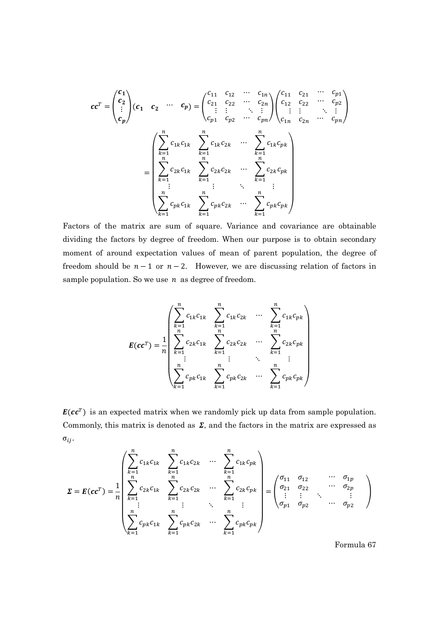$$
cc^{T} = \begin{pmatrix} c_{1} \\ c_{2} \\ \vdots \\ c_{p} \end{pmatrix} (c_{1} \ c_{2} \cdots c_{p}) = \begin{pmatrix} c_{11} & c_{12} & \cdots & c_{1n} \\ c_{21} & c_{22} & \cdots & c_{2n} \\ \vdots & \vdots & \ddots & \vdots \\ c_{p1} & c_{p2} & \cdots & c_{pn} \end{pmatrix} \begin{pmatrix} c_{11} & c_{21} & \cdots & c_{p1} \\ c_{12} & c_{22} & \cdots & c_{p2} \\ \vdots & \vdots & \ddots & \vdots \\ c_{1n} & c_{2n} & \cdots & c_{pn} \end{pmatrix}
$$

$$
= \begin{pmatrix} \sum_{k=1}^{n} c_{1k} c_{1k} & \sum_{k=1}^{n} c_{1k} c_{2k} & \cdots & \sum_{k=1}^{n} c_{1k} c_{pk} \\ \sum_{k=1}^{n} c_{2k} c_{1k} & \sum_{k=1}^{n} c_{2k} c_{2k} & \cdots & \sum_{k=1}^{n} c_{2k} c_{pk} \\ \vdots & \vdots & \ddots & \vdots \\ \sum_{k=1}^{n} c_{pk} c_{1k} & \sum_{k=1}^{n} c_{pk} c_{2k} & \cdots & \sum_{k=1}^{n} c_{pk} c_{pk} \end{pmatrix}
$$

Factors of the matrix are sum of square. Variance and covariance are obtainable dividing the factors by degree of freedom. When our purpose is to obtain secondary moment of around expectation values of mean of parent population, the degree of freedom should be  $n - 1$  or  $n - 2$ . However, we are discussing relation of factors in sample population. So we use  $n$  as degree of freedom.

$$
E(cc^{T}) = \frac{1}{n} \begin{pmatrix} \sum_{k=1}^{n} c_{1k}c_{1k} & \sum_{k=1}^{n} c_{1k}c_{2k} & \cdots & \sum_{k=1}^{n} c_{1k}c_{pk} \\ \sum_{k=1}^{n} c_{2k}c_{1k} & \sum_{k=1}^{n} c_{2k}c_{2k} & \cdots & \sum_{k=1}^{n} c_{2k}c_{pk} \\ \vdots & \vdots & \ddots & \vdots \\ \sum_{k=1}^{n} c_{pk}c_{1k} & \sum_{k=1}^{n} c_{pk}c_{2k} & \cdots & \sum_{k=1}^{n} c_{pk}c_{pk} \end{pmatrix}
$$

 $E(cc^T)$  is an expected matrix when we randomly pick up data from sample population. Commonly, this matrix is denoted as  $\Sigma$ , and the factors in the matrix are expressed as  $\sigma_{ij}$ .

$$
\Sigma = E(cc^{T}) = \frac{1}{n} \begin{pmatrix} \sum_{k=1}^{n} c_{1k}c_{1k} & \sum_{k=1}^{n} c_{1k}c_{2k} & \cdots & \sum_{k=1}^{n} c_{1k}c_{pk} \\ \sum_{k=1}^{n} c_{2k}c_{1k} & \sum_{k=1}^{n} c_{2k}c_{2k} & \cdots & \sum_{k=1}^{n} c_{2k}c_{pk} \\ \vdots & \vdots & \ddots & \vdots \\ \sum_{k=1}^{n} c_{pk}c_{1k} & \sum_{k=1}^{n} c_{pk}c_{2k} & \cdots & \sum_{k=1}^{n} c_{pk}c_{pk} \end{pmatrix} = \begin{pmatrix} \sigma_{11} & \sigma_{12} & \cdots & \sigma_{1p} \\ \sigma_{21} & \sigma_{22} & \cdots & \sigma_{2p} \\ \vdots & \vdots & \ddots & \vdots \\ \sigma_{p1} & \sigma_{p2} & \cdots & \sigma_{p2} \end{pmatrix}
$$

Formula 67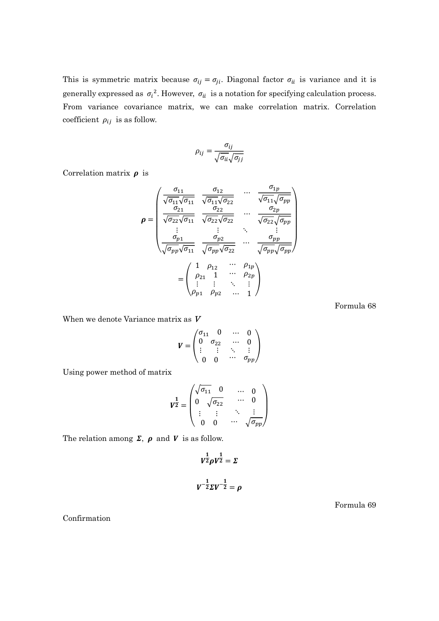This is symmetric matrix because  $\sigma_{ij} = \sigma_{ji}$ . Diagonal factor  $\sigma_{ii}$  is variance and it is generally expressed as  $\sigma_i^2$ . However,  $\sigma_{ii}$  is a notation for specifying calculation process. From variance covariance matrix, we can make correlation matrix. Correlation coefficient  $\rho_{ij}$  is as follow.

$$
\rho_{ij} = \frac{\sigma_{ij}}{\sqrt{\sigma_{ii}}\sqrt{\sigma_{jj}}}
$$

Correlation matrix  $\rho$  is

$$
\rho = \begin{pmatrix}\n\frac{\sigma_{11}}{\sqrt{\sigma_{11}}\sqrt{\sigma_{11}}} & \frac{\sigma_{12}}{\sqrt{\sigma_{11}}\sqrt{\sigma_{22}}} & \cdots & \frac{\sigma_{1p}}{\sqrt{\sigma_{11}}\sqrt{\sigma_{pp}}}\\
\frac{\sigma_{21}}{\sqrt{\sigma_{22}}\sqrt{\sigma_{11}}} & \frac{\sigma_{22}}{\sqrt{\sigma_{22}}\sqrt{\sigma_{22}}} & \cdots & \frac{\sigma_{2p}}{\sqrt{\sigma_{22}}\sqrt{\sigma_{pp}}}\\
\vdots & \vdots & \ddots & \vdots\\
\frac{\sigma_{p1}}{\sqrt{\sigma_{pp}}\sqrt{\sigma_{11}}} & \frac{\sigma_{p2}}{\sqrt{\sigma_{pp}}\sqrt{\sigma_{22}}} & \cdots & \frac{\sigma_{pp}}{\sqrt{\sigma_{pp}}\sqrt{\sigma_{pp}}}\n\end{pmatrix}
$$
\n
$$
= \begin{pmatrix}\n1 & \rho_{12} & \cdots & \rho_{1p} \\
\rho_{21} & 1 & \cdots & \rho_{2p} \\
\vdots & \vdots & \ddots & \vdots \\
\rho_{p1} & \rho_{p2} & \cdots & 1\n\end{pmatrix}
$$

Formula 68

When we denote Variance matrix as V

$$
\boldsymbol{V} = \begin{pmatrix} \sigma_{11} & 0 & \cdots & 0 \\ 0 & \sigma_{22} & \cdots & 0 \\ \vdots & \vdots & \ddots & \vdots \\ 0 & 0 & \cdots & \sigma_{pp} \end{pmatrix}
$$

Using power method of matrix

$$
\mathbf{V}^{\frac{1}{2}} = \begin{pmatrix} \sqrt{\sigma_{11}} & 0 & \cdots & 0 \\ 0 & \sqrt{\sigma_{22}} & & \cdots & 0 \\ \vdots & \vdots & & \ddots & \vdots \\ 0 & 0 & & \cdots & \sqrt{\sigma_{pp}} \end{pmatrix}
$$

The relation among  $\Sigma$ ,  $\rho$  and  $V$  is as follow.

$$
V^{\frac{1}{2}} \rho V^{\frac{1}{2}} = \Sigma
$$

$$
V^{-\frac{1}{2}} \Sigma V^{-\frac{1}{2}} = \rho
$$

Formula 69

Confirmation